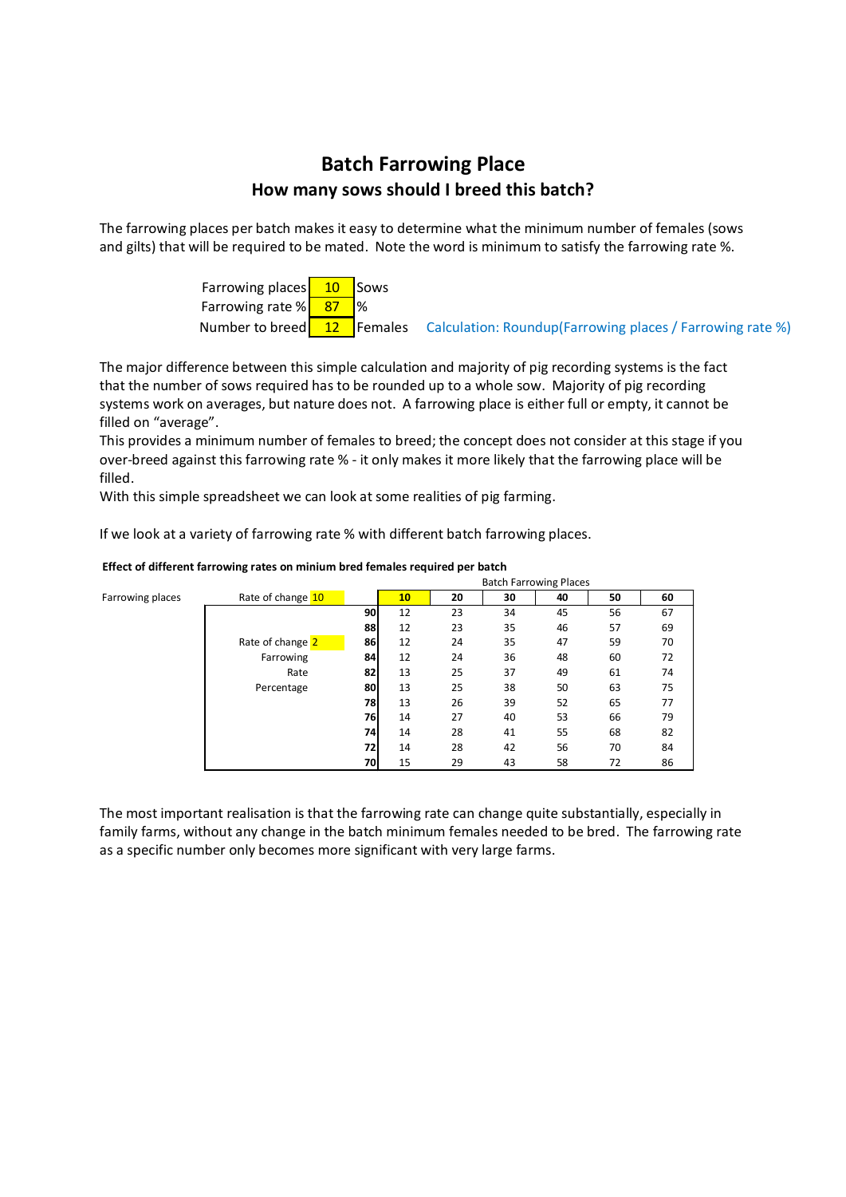## **Batch Farrowing Place How many sows should I breed this batch?**

The farrowing places per batch makes it easy to determine what the minimum number of females (sows and gilts) that will be required to be mated. Note the word is minimum to satisfy the farrowing rate %.

> Farrowing places  $\begin{array}{|c|c|} \hline 10 &$  Sows Farrowing rate  $\frac{1}{8}$  87 \  $\%$ Number to breed  $\begin{bmatrix} 12 \\ 12 \end{bmatrix}$  Females Calculation: Roundup(Farrowing places / Farrowing rate %)

The major difference between this simple calculation and majority of pig recording systems is the fact that the number of sows required has to be rounded up to a whole sow. Majority of pig recording systems work on averages, but nature does not. A farrowing place is either full or empty, it cannot be filled on "average".

This provides a minimum number of females to breed; the concept does not consider at this stage if you over-breed against this farrowing rate % - it only makes it more likely that the farrowing place will be filled.

With this simple spreadsheet we can look at some realities of pig farming.

If we look at a variety of farrowing rate % with different batch farrowing places.

|                  |                   | Datul FallOwing Piaces |    |    |    |    |    |    |  |
|------------------|-------------------|------------------------|----|----|----|----|----|----|--|
| Farrowing places | Rate of change 10 |                        | 10 | 20 | 30 | 40 | 50 | 60 |  |
|                  |                   | 90                     | 12 | 23 | 34 | 45 | 56 | 67 |  |
|                  |                   | 88                     | 12 | 23 | 35 | 46 | 57 | 69 |  |
|                  | Rate of change 2  | 86                     | 12 | 24 | 35 | 47 | 59 | 70 |  |
|                  | Farrowing         | 84                     | 12 | 24 | 36 | 48 | 60 | 72 |  |
|                  | Rate              | 82                     | 13 | 25 | 37 | 49 | 61 | 74 |  |
|                  | Percentage        | 80                     | 13 | 25 | 38 | 50 | 63 | 75 |  |
|                  |                   | 78                     | 13 | 26 | 39 | 52 | 65 | 77 |  |
|                  |                   | 76                     | 14 | 27 | 40 | 53 | 66 | 79 |  |
|                  |                   | 74                     | 14 | 28 | 41 | 55 | 68 | 82 |  |
|                  |                   | 72                     | 14 | 28 | 42 | 56 | 70 | 84 |  |
|                  |                   | 70                     | 15 | 29 | 43 | 58 | 72 | 86 |  |

## **Effect of different farrowing rates on minium bred females required per batch** Batch Farrowing Places

The most important realisation is that the farrowing rate can change quite substantially, especially in family farms, without any change in the batch minimum females needed to be bred. The farrowing rate as a specific number only becomes more significant with very large farms.